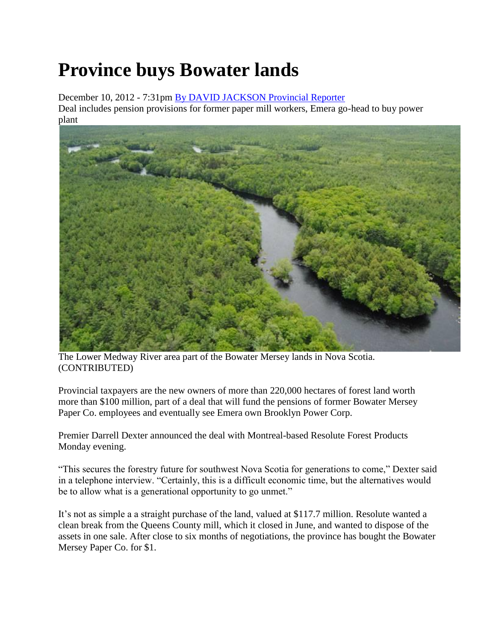## **Province buys Bowater lands**

December 10, 2012 - 7:31pm [By DAVID JACKSON Provincial Reporter](http://thechronicleherald.ca/author/david-jackson-provincial-reporter-1)  Deal includes pension provisions for former paper mill workers, Emera go-head to buy power plant



The Lower Medway River area part of the Bowater Mersey lands in Nova Scotia. (CONTRIBUTED)

Provincial taxpayers are the new owners of more than 220,000 hectares of forest land worth more than \$100 million, part of a deal that will fund the pensions of former Bowater Mersey Paper Co. employees and eventually see Emera own Brooklyn Power Corp.

Premier Darrell Dexter announced the deal with Montreal-based Resolute Forest Products Monday evening.

"This secures the forestry future for southwest Nova Scotia for generations to come," Dexter said in a telephone interview. "Certainly, this is a difficult economic time, but the alternatives would be to allow what is a generational opportunity to go unmet."

It's not as simple a a straight purchase of the land, valued at \$117.7 million. Resolute wanted a clean break from the Queens County mill, which it closed in June, and wanted to dispose of the assets in one sale. After close to six months of negotiations, the province has bought the Bowater Mersey Paper Co. for \$1.